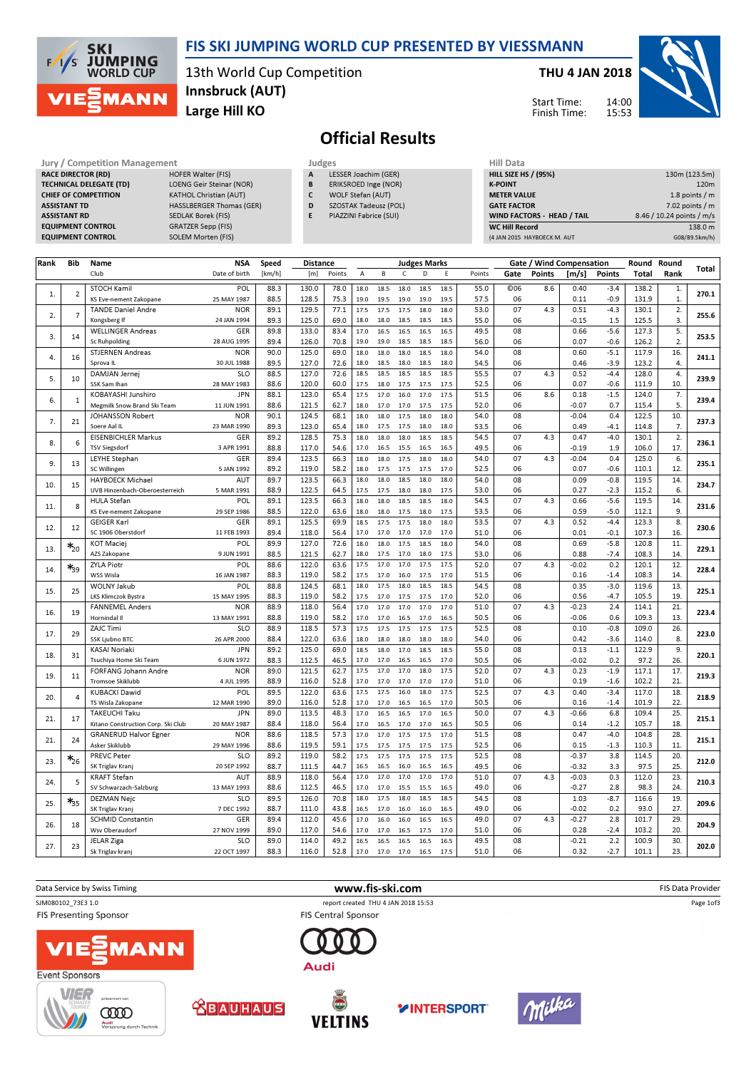

### FIS SKI JUMPING WORLD CUP PRESENTED BY VIESSMANN

13th World Cup Competition Large Hill KO Innsbruck (AUT)

#### THU 4 JAN 2018

Start Time: Finish Time:



# Official Results

Jury / Competition Management Judges<br>
RACE DIRECTOR (RD) HOFER Walter (FIS) A LES **RACE DIRECTOR (RD)** TECHNICAL DELEGATE (TD) LOENG Geir Steinar (NOR) CHIEF OF COMPETITION KATHOL Christian (AUT) ASSISTANT TD **HASSLBERGER Thomas (GER)** ASSISTANT RD SEDLAK Borek (FIS) EQUIPMENT CONTROL GRATZER Sepp (FIS) EQUIPMENT CONTROL SOLEM Morten (FIS)

- **LESSER Joachim (GER)**
- B ERIKSROED Inge (NOR) C WOLF Stefan (AUT)
- D SZOSTAK Tadeusz (POL)
- E PIAZZINI Fabrice (SUI)

| Hill Data                         |                           |
|-----------------------------------|---------------------------|
| <b>HILL SIZE HS / (95%)</b>       | 130m (123.5m)             |
| <b>K-POINT</b>                    | 120 <sub>m</sub>          |
| <b>METER VALUE</b>                | 1.8 points $/m$           |
| <b>GATE FACTOR</b>                | $7.02$ points / m         |
| <b>WIND FACTORS - HEAD / TAIL</b> | 8.46 / 10.24 points / m/s |
| <b>WC Hill Record</b>             | 138.0 m                   |
| (4 JAN 2015 HAYBOECK M. AUT       | G08/89.5km/h)             |

| Rank | Bib            | Name                                                       | <b>NSA</b>                | Speed        | <b>Distance</b> |              |              |              |              | <b>Judges Marks</b> |              |              |                 | Gate / Wind Compensation |                    |                  | Round          | Round      |       |
|------|----------------|------------------------------------------------------------|---------------------------|--------------|-----------------|--------------|--------------|--------------|--------------|---------------------|--------------|--------------|-----------------|--------------------------|--------------------|------------------|----------------|------------|-------|
|      |                | Club                                                       | Date of birth             | [km/h]       | [m]             | Points       | A            | B            | $\mathsf{C}$ | D                   | E            | Points       | Gate            | <b>Points</b>            | [m/s]              | Points           | Total          | Rank       | Total |
| 1.   | $\overline{2}$ | <b>STOCH Kamil</b>                                         | POL                       | 88.3         | 130.0           | 78.0         | 18.0         | 18.5         | 18.0         | 18.5                | 18.5         | 55.0         | C <sub>06</sub> | 8.6                      | 0.40               | $-3.4$           | 138.2          | 1.         | 270.1 |
|      |                | KS Eve-nement Zakopane                                     | 25 MAY 1987               | 88.5         | 128.5           | 75.3         | 19.0         | 19.5         | 19.0         | 19.0                | 19.5         | 57.5         | 06              |                          | 0.11               | $-0.9$           | 131.9          | 1.         |       |
| 2.   | $\overline{7}$ | <b>TANDE Daniel Andre</b>                                  | <b>NOR</b><br>24 JAN 1994 | 89.1         | 129.5           | 77.1         | 17.5         | 17.5         | 17.5<br>18.5 | 18.0                | 18.0<br>18.5 | 53.0         | 07              | 4.3                      | 0.51               | $-4.3$           | 130.1          | 2.         | 255.6 |
|      |                | Kongsberg If<br><b>WELLINGER Andreas</b>                   | GER                       | 89.3<br>89.8 | 125.0<br>133.0  | 69.0<br>83.4 | 18.0<br>17.0 | 18.0<br>16.5 | 16.5         | 18.5<br>16.5        | 16.5         | 55.0<br>49.5 | 06<br>08        |                          | $-0.15$<br>0.66    | 1.5<br>$-5.6$    | 125.5<br>127.3 | 3.<br>5.   |       |
| 3.   | 14             | <b>Sc Ruhpolding</b>                                       | 28 AUG 1995               | 89.4         | 126.0           | 70.8         | 19.0         | 19.0         | 18.5         | 18.5                | 18.5         | 56.0         | 06              |                          | 0.07               | $-0.6$           | 126.2          | 2.         | 253.5 |
|      |                | <b>STJERNEN Andreas</b>                                    | <b>NOR</b>                | 90.0         | 125.0           | 69.0         | 18.0         | 18.0         | 18.0         | 18.5                | 18.0         | 54.0         | 08              |                          | 0.60               | $-5.1$           | 117.9          | 16.        |       |
| 4.   | 16             | Sprova IL                                                  | 30 JUL 1988               | 89.5         | 127.0           | 72.6         | 18.0         | 18.5         | 18.0         | 18.5                | 18.0         | 54.5         | 06              |                          | 0.46               | $-3.9$           | 123.2          | 4.         | 241.1 |
| 5.   | 10             | DAMJAN Jernej                                              | <b>SLO</b>                | 88.5         | 127.0           | 72.6         | 18.5         | 18.5         | 18.5         | 18.5                | 18.5         | 55.5         | 07              | 4.3                      | 0.52               | $-4.4$           | 128.0          | 4.         | 239.9 |
|      |                | SSK Sam Ihan                                               | 28 MAY 1983               | 88.6         | 120.0           | 60.0         | 17.5         | 18.0         | 17.5         | 17.5                | 17.5         | 52.5         | 06              |                          | 0.07               | $-0.6$           | 111.9          | 10.        |       |
| 6.   | $\mathbf{1}$   | KOBAYASHI Junshiro                                         | <b>JPN</b><br>11 JUN 1991 | 88.1<br>88.6 | 123.0<br>121.5  | 65.4<br>62.7 | 17.5<br>18.0 | 17.0<br>17.0 | 16.0<br>17.0 | 17.0<br>17.5        | 17.5<br>17.5 | 51.5<br>52.0 | 06<br>06        | 8.6                      | 0.18<br>$-0.07$    | $-1.5$<br>0.7    | 124.0<br>115.4 | 7.<br>5.   | 239.4 |
|      |                | Megmilk Snow Brand Ski Team<br>JOHANSSON Robert            | <b>NOR</b>                | 90.1         | 124.5           | 68.1         | 18.0         | 18.0         | 17.5         | 18.0                | 18.0         | 54.0         | 08              |                          | $-0.04$            | 0.4              | 122.5          | 10.        |       |
| 7.   | 21             | Soere Aal IL                                               | 23 MAR 1990               | 89.3         | 123.0           | 65.4         | 18.0         | 17.5         | 17.5         | 18.0                | 18.0         | 53.5         | 06              |                          | 0.49               | $-4.1$           | 114.8          | 7.         | 237.3 |
|      |                | <b>EISENBICHLER Markus</b>                                 | GER                       | 89.2         | 128.5           | 75.3         | 18.0         | 18.0         | 18.0         | 18.5                | 18.5         | 54.5         | 07              | 4.3                      | 0.47               | $-4.0$           | 130.1          | 2.         |       |
| 8.   | 6              | <b>TSV Siegsdorf</b>                                       | 3 APR 1991                | 88.8         | 117.0           | 54.6         | 17.0         | 16.5         | 15.5         | 16.5                | 16.5         | 49.5         | 06              |                          | $-0.19$            | 1.9              | 106.0          | 17.        | 236.1 |
| 9.   | 13             | <b>LEYHE Stephan</b>                                       | GER                       | 89.4         | 123.5           | 66.3         | 18.0         | 18.0         | 17.5         | 18.0                | 18.0         | 54.0         | 07              | 4.3                      | $-0.04$            | 0.4              | 125.0          | 6.         | 235.1 |
|      |                | SC Willingen                                               | 5 JAN 1992                | 89.2         | 119.0           | 58.2         | 18.0         | 17.5         | 17.5         | 17.5                | 17.0         | 52.5         | 06              |                          | 0.07               | $-0.6$           | 110.1          | 12         |       |
| 10.  | 15             | <b>HAYBOECK Michael</b>                                    | AUT                       | 89.7         | 123.5           | 66.3         | 18.0         | 18.0         | 18.5         | 18.0                | 18.0         | 54.0         | 08              |                          | 0.09               | $-0.8$           | 119.5          | 14         | 234.7 |
|      |                | UVB Hinzenbach-Oberoesterreich                             | 5 MAR 1991                | 88.9         | 122.5           | 64.5         | 17.5         | 17.5         | 18.0         | 18.0                | 17.5         | 53.0         | 06              |                          | 0.27               | $-2.3$           | 115.2          | 6.         |       |
| 11.  | 8              | <b>HULA Stefan</b><br>KS Eve-nement Zakopane               | POL<br>29 SEP 1986        | 89.1<br>88.5 | 123.5<br>122.0  | 66.3<br>63.6 | 18.0<br>18.0 | 18.0<br>18.0 | 18.5<br>17.5 | 18.5<br>18.0        | 18.0<br>17.5 | 54.5<br>53.5 | 07<br>06        | 4.3                      | 0.66<br>0.59       | $-5.6$<br>$-5.0$ | 119.5<br>112.1 | 14.<br>9.  | 231.6 |
|      |                | <b>GEIGER Karl</b>                                         | GER                       | 89.1         | 125.5           | 69.9         | 18.5         | 17.5         | 17.5         | 18.0                | 18.0         | 53.5         | 07              | 4.3                      | 0.52               | $-4.4$           | 123.3          | 8.         |       |
| 12.  | 12             | SC 1906 Oberstdorf                                         | 11 FEB 1993               | 89.4         | 118.0           | 56.4         | 17.0         | 17.0         | 17.0         | 17.0                | 17.0         | 51.0         | 06              |                          | 0.01               | $-0.1$           | 107.3          | 16.        | 230.6 |
|      | $*_{20}$       | <b>KOT Maciej</b>                                          | POL                       | 89.9         | 127.0           | 72.6         | 18.0         | 18.0         | 17.5         | 18.5                | 18.0         | 54.0         | 08              |                          | 0.69               | $-5.8$           | 120.8          | 11.        |       |
| 13.  |                | AZS Zakopane                                               | 9 JUN 1991                | 88.5         | 121.5           | 62.7         | 18.0         | 17.5         | 17.0         | 18.0                | 17.5         | 53.0         | 06              |                          | 0.88               | $-7.4$           | 108.3          | 14         | 229.1 |
| 14.  | ∗*39           | <b>ZYLA Piotr</b>                                          | POL                       | 88.6         | 122.0           | 63.6         | 17.5         | 17.0         | 17.0         | 17.5                | 17.5         | 52.0         | 07              | 4.3                      | $-0.02$            | 0.2              | 120.1          | 12.        | 228.4 |
|      |                | WSS Wisla                                                  | 16 JAN 1987               | 88.3         | 119.0           | 58.2         | 17.5         | 17.0         | 16.0         | 17.5                | 17.0         | 51.5         | 06              |                          | 0.16               | $-1.4$           | 108.3          | 14.        |       |
| 15.  | 25             | <b>WOLNY Jakub</b>                                         | POL                       | 88.8         | 124.5           | 68.1         | 18.0         | 17.5         | 18.0         | 18.5                | 18.5         | 54.5         | 08              |                          | 0.35               | $-3.0$           | 119.6          | 13.        | 225.1 |
|      |                | LKS Klimczok Bystra                                        | 15 MAY 1995               | 88.3         | 119.0           | 58.2         | 17.5         | 17.0         | 17.5         | 17.5                | 17.0         | 52.0         | 06              |                          | 0.56               | $-4.7$           | 105.5          | 19.        |       |
| 16.  | 19             | <b>FANNEMEL Anders</b><br>Hornindal II                     | <b>NOR</b><br>13 MAY 1991 | 88.9<br>88.8 | 118.0<br>119.0  | 56.4<br>58.2 | 17.0<br>17.0 | 17.0<br>17.0 | 17.0<br>16.5 | 17.0<br>17.0        | 17.0<br>16.5 | 51.0<br>50.5 | 07<br>06        | 4.3                      | $-0.23$<br>$-0.06$ | 2.4<br>0.6       | 114.1<br>109.3 | 21.<br>13. | 223.4 |
|      |                | <b>ZAJC Timi</b>                                           | <b>SLO</b>                | 88.9         | 118.5           | 57.3         | 17.5         | 17.5         | 17.5         | 17.5                | 17.5         | 52.5         | 08              |                          | 0.10               | $-0.8$           | 109.0          | 26.        |       |
| 17.  | 29             | <b>SSK Ljubno BTC</b>                                      | 26 APR 2000               | 88.4         | 122.0           | 63.6         | 18.0         | 18.0         | 18.0         | 18.0                | 18.0         | 54.0         | 06              |                          | 0.42               | $-3.6$           | 114.0          | 8.         | 223.0 |
|      |                | <b>KASAI Noriaki</b>                                       | <b>JPN</b>                | 89.2         | 125.0           | 69.0         | 18.5         | 18.0         | 17.0         | 18.5                | 18.5         | 55.0         | 08              |                          | 0.13               | $-1.1$           | 122.9          | 9.         |       |
| 18   | 31             | Tsuchiya Home Ski Team                                     | 6 JUN 1972                | 88.3         | 112.5           | 46.5         | 17.0         | 17.0         | 16.5         | 16.5                | 17.0         | 50.5         | 06              |                          | $-0.02$            | 0.2              | 97.2           | 26.        | 220.1 |
| 19.  | 11             | FORFANG Johann Andre                                       | <b>NOR</b>                | 89.0         | 121.5           | 62.7         | 17.5         | 17.0         | 17.0         | 18.0                | 17.5         | 52.0         | 07              | 4.3                      | 0.23               | $-1.9$           | 117.1          | 17.        | 219.3 |
|      |                | <b>Tromsoe Skiklubb</b>                                    | 4 JUL 1995                | 88.9         | 116.0           | 52.8         | 17.0         | 17.0         | 17.0         | 17.0                | 17.0         | 51.0         | 06              |                          | 0.19               | $-1.6$           | 102.2          | 21.        |       |
| 20.  | $\overline{4}$ | <b>KUBACKI Dawid</b>                                       | POL                       | 89.5         | 122.0           | 63.6         | 17.5         | 17.5         | 16.0         | 18.0                | 17.5         | 52.5         | 07              | 4.3                      | 0.40               | $-3.4$           | 117.0          | 18.        | 218.9 |
|      |                | TS Wisla Zakopane                                          | 12 MAR 1990               | 89.0         | 116.0           | 52.8         | 17.0         | 17.0         | 16.5         | 16.5                | 17.0         | 50.5         | 06<br>07        | 4.3                      | 0.16               | $-1.4$           | 101.9          | 22.        |       |
| 21.  | 17             | <b>TAKEUCHI Taku</b><br>Kitano Construction Corp. Ski Club | <b>JPN</b><br>20 MAY 1987 | 89.0<br>88.4 | 113.5<br>118.0  | 48.3<br>56.4 | 17.0<br>17.0 | 16.5         | 16.5<br>17.0 | 17.0<br>17.0        | 16.5<br>16.5 | 50.0<br>50.5 | 06              |                          | $-0.66$<br>0.14    | 6.8<br>$-1.2$    | 109.4<br>105.7 | 25.<br>18. | 215.1 |
|      |                | <b>GRANERUD Halvor Egner</b>                               | <b>NOR</b>                | 88.6         | 118.5           | 57.3         | 17.0         | 16.5<br>17.0 | 17.5         | 17.5                | 17.0         | 51.5         | 08              |                          | 0.47               | $-4.0$           | 104.8          | 28.        |       |
| 21   | 24             | Asker Skiklubb                                             | 29 MAY 1996               | 88.6         | 119.5           | 59.1         | 17.5         | 17.5         | 17.5         | 17.5                | 17.5         | 52.5         | 06              |                          | 0.15               | $-1.3$           | 110.3          | 11         | 215.1 |
|      |                | <b>PREVC Peter</b>                                         | <b>SLO</b>                | 89.2         | 119.0           | 58.2         | 17.5         | 17.5         | 17.5         | 17.5                | 17.5         | 52.5         | 08              |                          | $-0.37$            | 3.8              | 114.5          | 20.        |       |
| 23.  | $*_{26}$       | SK Triglav Kranj                                           | 20 SEP 1992               | 88.7         | 111.5           | 44.7         | 16.5         | 16.5         | 16.0         | 16.5                | 16.5         | 49.5         | 06              |                          | $-0.32$            | 3.3              | 97.5           | 25.        | 212.0 |
|      | 5              | <b>KRAFT Stefan</b>                                        | AUT                       | 88.9         | 118.0           | 56.4         | 17.0         | 17.0         | 17.0         | 17.0                | 17.0         | 51.0         | 07              | 4.3                      | $-0.03$            | 0.3              | 112.0          | 23.        | 210.3 |
| 24.  |                | SV Schwarzach-Salzburg                                     | 13 MAY 1993               | 88.6         | 112.5           | 46.5         | 17.0         | 17.0         | 15.5         | 15.5                | 16.5         | 49.0         | 06              |                          | $-0.27$            | 2.8              | 98.3           | 24.        |       |
| 25.  | $\ast_{35}$    | <b>DEZMAN Nejc</b>                                         | <b>SLO</b>                | 89.5         | 126.0           | 70.8         | 18.0         | 17.5         | 18.0         | 18.5                | 18.5         | 54.5         | 08              |                          | 1.03               | $-8.7$           | 116.6          | 19.        | 209.6 |
|      |                | SK Triglav Kranj                                           | 7 DEC 1992                | 88.7         | 111.0           | 43.8         | 16.5         | 17.0         | 16.0         | 16.0                | 16.5         | 49.0         | 06              |                          | $-0.02$            | 0.2              | 93.0           | 27.        |       |
| 26.  | 18             | <b>SCHMID Constantin</b>                                   | GER                       | 89.4         | 112.0           | 45.6         | 17.0         | 16.0         | 16.0         | 16.5                | 16.5         | 49.0         | 07              | 4.3                      | $-0.27$            | 2.8              | 101.7          | 29.        | 204.9 |
|      |                | Wsv Oberaudorf                                             | 27 NOV 1999<br><b>SLO</b> | 89.0<br>89.0 | 117.0<br>114.0  | 54.6<br>49.2 | 17.0<br>16.5 | 17.0<br>16.5 | 16.5<br>16.5 | 17.5<br>16.5        | 17.0<br>16.5 | 51.0<br>49.5 | 06<br>08        |                          | 0.28<br>$-0.21$    | $-2.4$<br>2.2    | 103.2<br>100.9 | 20.<br>30. |       |
| 27.  | 23             | JELAR Ziga<br>Sk Triglav kranj                             | 22 OCT 1997               | 88.3         | 116.0           | 52.8         | 17.0         | 17.0         | 17.0         | 16.5                | 17.5         | 51.0         | 06              |                          | 0.32               | $-2.7$           | 101.1          | 23.        | 202.0 |
|      |                |                                                            |                           |              |                 |              |              |              |              |                     |              |              |                 |                          |                    |                  |                |            |       |



**YINTERSPORT** 

 $\bigcirc$ 

**VELTINS** 

**ABAUHAUS** 

**COOD** 

A

.<br>ung durch Te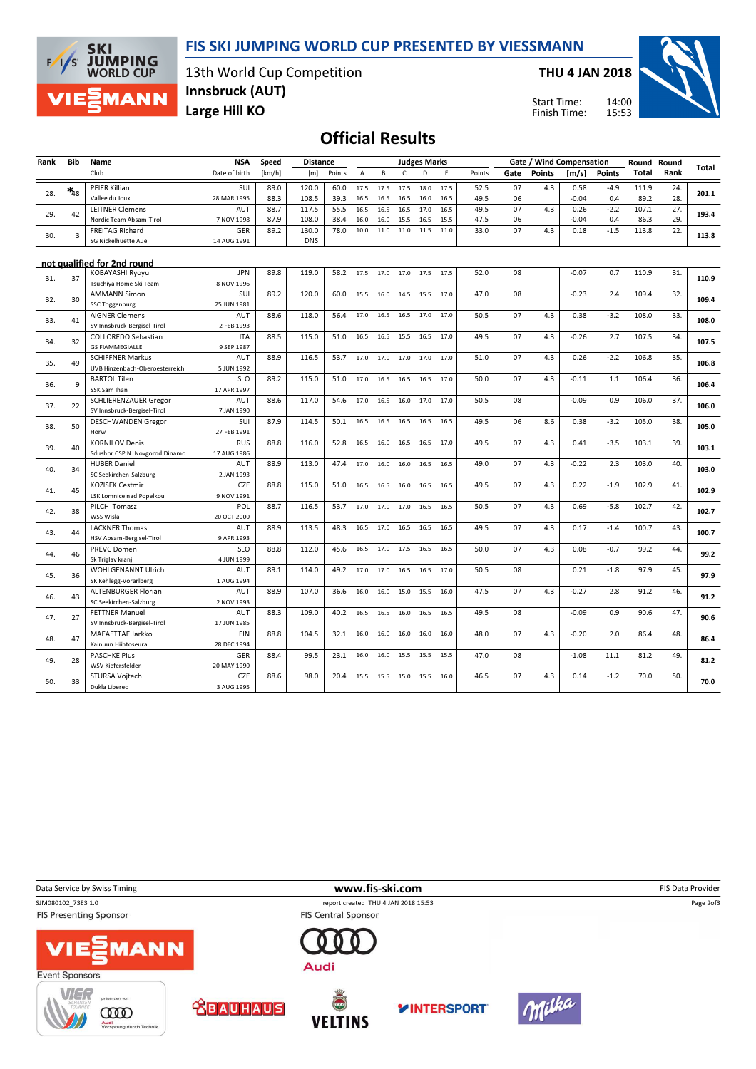#### FIS SKI JUMPING WORLD CUP PRESENTED BY VIESSMANN



13th World Cup Competition Innsbruck (AUT)

THU 4 JAN 2018

Start Time: Finish Time:



Large Hill KO

## Official Results

| Rank | Bib               | Name                                                 | <b>NSA</b>               | Speed<br><b>Distance</b><br><b>Judges Marks</b><br>Gate / Wind Compensation |            |        | Round Round |      |      |      |      |        |      |               |         |               |       |      |       |
|------|-------------------|------------------------------------------------------|--------------------------|-----------------------------------------------------------------------------|------------|--------|-------------|------|------|------|------|--------|------|---------------|---------|---------------|-------|------|-------|
|      |                   | Club                                                 | Date of birth            | [km/h]                                                                      | [m]        | Points | A           | B    | C    | D    | E    | Points | Gate | <b>Points</b> | [m/s]   | <b>Points</b> | Total | Rank | Total |
|      | $\mathbf{*}_{48}$ | PEIER Killian                                        | SUI                      | 89.0                                                                        | 120.0      | 60.0   | 17.5        | 17.5 | 17.5 | 18.0 | 17.5 | 52.5   | 07   | 4.3           | 0.58    | $-4.9$        | 111.9 | 24.  |       |
| 28.  |                   | Vallee du Joux                                       | 28 MAR 1995              | 88.3                                                                        | 108.5      | 39.3   | 16.5        | 16.5 | 16.5 | 16.0 | 16.5 | 49.5   | 06   |               | $-0.04$ | 0.4           | 89.2  | 28.  | 201.1 |
| 29.  | 42                | <b>LEITNER Clemens</b>                               | AUT                      | 88.7                                                                        | 117.5      | 55.5   | 16.5        | 16.5 | 16.5 | 17.0 | 16.5 | 49.5   | 07   | 4.3           | 0.26    | $-2.2$        | 107.1 | 27.  | 193.4 |
|      |                   | Nordic Team Absam-Tirol                              | 7 NOV 1998               | 87.9                                                                        | 108.0      | 38.4   | 16.0        | 16.0 | 15.5 | 16.5 | 15.5 | 47.5   | 06   |               | $-0.04$ | 0.4           | 86.3  | 29.  |       |
| 30.  | 3                 | <b>FREITAG Richard</b>                               | <b>GER</b>               | 89.2                                                                        | 130.0      | 78.0   | 10.0        | 11.0 | 11.0 | 11.5 | 11.0 | 33.0   | 07   | 4.3           | 0.18    | $-1.5$        | 113.8 | 22.  | 113.8 |
|      |                   | SG Nickelhuette Aue                                  | 14 AUG 1991              |                                                                             | <b>DNS</b> |        |             |      |      |      |      |        |      |               |         |               |       |      |       |
|      |                   | not qualified for 2nd round                          |                          |                                                                             |            |        |             |      |      |      |      |        |      |               |         |               |       |      |       |
| 31.  | 37                | <b>KOBAYASHI Ryoyu</b>                               | <b>JPN</b>               | 89.8                                                                        | 119.0      | 58.2   | 17.5        | 17.0 | 17.0 | 17.5 | 17.5 | 52.0   | 08   |               | $-0.07$ | 0.7           | 110.9 | 31.  | 110.9 |
|      |                   | Tsuchiya Home Ski Team                               | 8 NOV 1996               |                                                                             |            |        |             |      |      |      |      |        |      |               |         |               |       |      |       |
| 32.  | 30                | <b>AMMANN Simon</b>                                  | SUI                      | 89.2                                                                        | 120.0      | 60.0   | 15.5        | 16.0 | 14.5 | 15.5 | 17.0 | 47.0   | 08   |               | $-0.23$ | 2.4           | 109.4 | 32.  | 109.4 |
|      |                   | <b>SSC Toggenburg</b>                                | 25 JUN 1981              |                                                                             | 118.0      |        |             |      |      |      |      | 50.5   | 07   |               | 0.38    | $-3.2$        | 108.0 | 33.  |       |
| 33.  | 41                | <b>AIGNER Clemens</b><br>SV Innsbruck-Bergisel-Tirol | AUT<br>2 FEB 1993        | 88.6                                                                        |            | 56.4   | 17.0        | 16.5 | 16.5 | 17.0 | 17.0 |        |      | 4.3           |         |               |       |      | 108.0 |
|      |                   | COLLOREDO Sebastian                                  | <b>ITA</b>               | 88.5                                                                        | 115.0      | 51.0   |             | 16.5 | 15.5 |      | 17.0 | 49.5   | 07   | 4.3           | $-0.26$ | 2.7           | 107.5 | 34.  |       |
| 34.  | 32                | <b>GS FIAMMEGIALLE</b>                               | 9 SEP 1987               |                                                                             |            |        | 16.5        |      |      | 16.5 |      |        |      |               |         |               |       |      | 107.5 |
|      |                   | <b>SCHIFFNER Markus</b>                              | AUT                      | 88.9                                                                        | 116.5      | 53.7   | 17.0        | 17.0 | 17.0 | 17.0 | 17.0 | 51.0   | 07   | 4.3           | 0.26    | $-2.2$        | 106.8 | 35.  |       |
| 35.  | 49                | UVB Hinzenbach-Oberoesterreich                       | 5 JUN 1992               |                                                                             |            |        |             |      |      |      |      |        |      |               |         |               |       |      | 106.8 |
|      |                   | <b>BARTOL Tilen</b>                                  | <b>SLO</b>               | 89.2                                                                        | 115.0      | 51.0   | 17.0        | 16.5 | 16.5 | 16.5 | 17.0 | 50.0   | 07   | 4.3           | $-0.11$ | 1.1           | 106.4 | 36.  |       |
| 36.  | 9                 | SSK Sam Ihan                                         | 17 APR 1997              |                                                                             |            |        |             |      |      |      |      |        |      |               |         |               |       |      | 106.4 |
|      |                   | SCHLIERENZAUER Gregor                                | AUT                      | 88.6                                                                        | 117.0      | 54.6   | 17.0        | 16.5 | 16.0 | 17.0 | 17.0 | 50.5   | 08   |               | $-0.09$ | 0.9           | 106.0 | 37.  |       |
| 37.  | 22                | SV Innsbruck-Bergisel-Tirol                          | 7 JAN 1990               |                                                                             |            |        |             |      |      |      |      |        |      |               |         |               |       |      | 106.0 |
|      |                   | <b>DESCHWANDEN Gregor</b>                            | SUI                      | 87.9                                                                        | 114.5      | 50.1   | 16.5        | 16.5 | 16.5 | 16.5 | 16.5 | 49.5   | 06   | 8.6           | 0.38    | $-3.2$        | 105.0 | 38.  |       |
| 38.  | 50                | Horw                                                 | 27 FEB 1991              |                                                                             |            |        |             |      |      |      |      |        |      |               |         |               |       |      | 105.0 |
|      |                   | <b>KORNILOV Denis</b>                                | <b>RUS</b>               | 88.8                                                                        | 116.0      | 52.8   | 16.5        | 16.0 | 16.5 | 16.5 | 17.0 | 49.5   | 07   | 4.3           | 0.41    | $-3.5$        | 103.1 | 39.  | 103.1 |
| 39.  | 40                | Sdushor CSP N. Novgorod Dinamo                       | 17 AUG 1986              |                                                                             |            |        |             |      |      |      |      |        |      |               |         |               |       |      |       |
| 40.  | 34                | <b>HUBER Daniel</b>                                  | AUT                      | 88.9                                                                        | 113.0      | 47.4   | 17.0        | 16.0 | 16.0 | 16.5 | 16.5 | 49.0   | 07   | 4.3           | $-0.22$ | 2.3           | 103.0 | 40.  | 103.0 |
|      |                   | SC Seekirchen-Salzburg                               | 2 JAN 1993               |                                                                             |            |        |             |      |      |      |      |        |      |               |         |               |       |      |       |
| 41.  | 45                | <b>KOZISEK Cestmir</b>                               | CZE                      | 88.8                                                                        | 115.0      | 51.0   | 16.5        | 16.5 | 16.0 | 16.5 | 16.5 | 49.5   | 07   | 4.3           | 0.22    | $-1.9$        | 102.9 | 41.  | 102.9 |
|      |                   | <b>LSK Lomnice nad Popelkou</b>                      | 9 NOV 1991               |                                                                             |            |        |             |      |      |      |      |        |      |               |         |               |       |      |       |
| 42.  | 38                | PILCH Tomasz                                         | POL                      | 88.7                                                                        | 116.5      | 53.7   | 17.0        | 17.0 | 17.0 | 16.5 | 16.5 | 50.5   | 07   | 4.3           | 0.69    | $-5.8$        | 102.7 | 42.  | 102.7 |
|      |                   | WSS Wisla                                            | 20 OCT 2000              |                                                                             |            |        |             |      |      |      |      |        |      |               |         |               |       |      |       |
| 43.  | 44                | <b>LACKNER Thomas</b>                                | AUT                      | 88.9                                                                        | 113.5      | 48.3   | 16.5        | 17.0 | 16.5 | 16.5 | 16.5 | 49.5   | 07   | 4.3           | 0.17    | $-1.4$        | 100.7 | 43.  | 100.7 |
|      |                   | HSV Absam-Bergisel-Tirol<br><b>PREVC Domen</b>       | 9 APR 1993<br><b>SLO</b> | 88.8                                                                        | 112.0      | 45.6   |             |      |      |      |      | 50.0   | 07   | 4.3           | 0.08    | $-0.7$        | 99.2  | 44.  |       |
| 44.  | 46                | Sk Triglav kranj                                     | 4 JUN 1999               |                                                                             |            |        | 16.5        | 17.0 | 17.5 | 16.5 | 16.5 |        |      |               |         |               |       |      | 99.2  |
|      |                   | WOHLGENANNT Ulrich                                   | AUT                      | 89.1                                                                        | 114.0      | 49.2   | 17.0        | 17.0 | 16.5 | 16.5 | 17.0 | 50.5   | 08   |               | 0.21    | $-1.8$        | 97.9  | 45.  |       |
| 45.  | 36                | SK Kehlegg-Vorarlberg                                | 1 AUG 1994               |                                                                             |            |        |             |      |      |      |      |        |      |               |         |               |       |      | 97.9  |
|      |                   | <b>ALTENBURGER Florian</b>                           | AUT                      | 88.9                                                                        | 107.0      | 36.6   | 16.0        | 16.0 | 15.0 | 15.5 | 16.0 | 47.5   | 07   | 4.3           | $-0.27$ | 2.8           | 91.2  | 46.  |       |
| 46.  | 43                | SC Seekirchen-Salzburg                               | 2 NOV 1993               |                                                                             |            |        |             |      |      |      |      |        |      |               |         |               |       |      | 91.2  |
|      |                   | <b>FETTNER Manuel</b>                                | AUT                      | 88.3                                                                        | 109.0      | 40.2   | 16.5        | 16.5 | 16.0 | 16.5 | 16.5 | 49.5   | 08   |               | $-0.09$ | 0.9           | 90.6  | 47.  |       |
| 47.  | 27                | SV Innsbruck-Bergisel-Tirol                          | 17 JUN 1985              |                                                                             |            |        |             |      |      |      |      |        |      |               |         |               |       |      | 90.6  |
|      |                   | <b>MAEAETTAE Jarkko</b>                              | <b>FIN</b>               | 88.8                                                                        | 104.5      | 32.1   | 16.0        | 16.0 | 16.0 | 16.0 | 16.0 | 48.0   | 07   | 4.3           | $-0.20$ | 2.0           | 86.4  | 48.  |       |
| 48.  | 47                | Kainuun Hiihtoseura                                  | 28 DEC 1994              |                                                                             |            |        |             |      |      |      |      |        |      |               |         |               |       |      | 86.4  |
| 49.  | 28                | <b>PASCHKE Pius</b>                                  | <b>GER</b>               | 88.4                                                                        | 99.5       | 23.1   | 16.0        | 16.0 | 15.5 | 15.5 | 15.5 | 47.0   | 08   |               | $-1.08$ | 11.1          | 81.2  | 49.  | 81.2  |
|      |                   | WSV Kiefersfelden                                    | 20 MAY 1990              |                                                                             |            |        |             |      |      |      |      |        |      |               |         |               |       |      |       |
| 50.  | 33                | STURSA Vojtech                                       | CZE                      | 88.6                                                                        | 98.0       | 20.4   | 15.5        | 15.5 | 15.0 | 15.5 | 16.0 | 46.5   | 07   | 4.3           | 0.14    | $-1.2$        | 70.0  | 50.  | 70.0  |
|      |                   | Dukla Liberec                                        | 3 AUG 1995               |                                                                             |            |        |             |      |      |      |      |        |      |               |         |               |       |      |       |